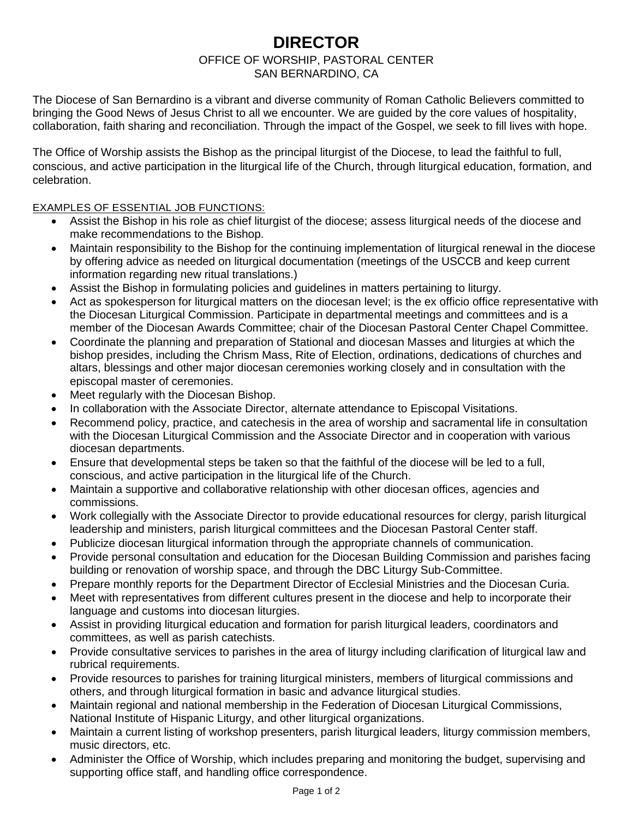# **DIRECTOR**

## OFFICE OF WORSHIP, PASTORAL CENTER

### SAN BERNARDINO, CA

The Diocese of San Bernardino is a vibrant and diverse community of Roman Catholic Believers committed to bringing the Good News of Jesus Christ to all we encounter. We are guided by the core values of hospitality, collaboration, faith sharing and reconciliation. Through the impact of the Gospel, we seek to fill lives with hope.

The Office of Worship assists the Bishop as the principal liturgist of the Diocese, to lead the faithful to full, conscious, and active participation in the liturgical life of the Church, through liturgical education, formation, and celebration.

#### EXAMPLES OF ESSENTIAL JOB FUNCTIONS:

- Assist the Bishop in his role as chief liturgist of the diocese; assess liturgical needs of the diocese and make recommendations to the Bishop.
- Maintain responsibility to the Bishop for the continuing implementation of liturgical renewal in the diocese by offering advice as needed on liturgical documentation (meetings of the USCCB and keep current information regarding new ritual translations.)
- Assist the Bishop in formulating policies and guidelines in matters pertaining to liturgy.
- Act as spokesperson for liturgical matters on the diocesan level; is the ex officio office representative with the Diocesan Liturgical Commission. Participate in departmental meetings and committees and is a member of the Diocesan Awards Committee; chair of the Diocesan Pastoral Center Chapel Committee.
- Coordinate the planning and preparation of Stational and diocesan Masses and liturgies at which the bishop presides, including the Chrism Mass, Rite of Election, ordinations, dedications of churches and altars, blessings and other major diocesan ceremonies working closely and in consultation with the episcopal master of ceremonies.
- Meet regularly with the Diocesan Bishop.
- In collaboration with the Associate Director, alternate attendance to Episcopal Visitations.
- Recommend policy, practice, and catechesis in the area of worship and sacramental life in consultation with the Diocesan Liturgical Commission and the Associate Director and in cooperation with various diocesan departments.
- Ensure that developmental steps be taken so that the faithful of the diocese will be led to a full, conscious, and active participation in the liturgical life of the Church.
- Maintain a supportive and collaborative relationship with other diocesan offices, agencies and commissions.
- Work collegially with the Associate Director to provide educational resources for clergy, parish liturgical leadership and ministers, parish liturgical committees and the Diocesan Pastoral Center staff.
- Publicize diocesan liturgical information through the appropriate channels of communication.
- Provide personal consultation and education for the Diocesan Building Commission and parishes facing building or renovation of worship space, and through the DBC Liturgy Sub-Committee.
- Prepare monthly reports for the Department Director of Ecclesial Ministries and the Diocesan Curia.
- Meet with representatives from different cultures present in the diocese and help to incorporate their language and customs into diocesan liturgies.
- Assist in providing liturgical education and formation for parish liturgical leaders, coordinators and committees, as well as parish catechists.
- Provide consultative services to parishes in the area of liturgy including clarification of liturgical law and rubrical requirements.
- Provide resources to parishes for training liturgical ministers, members of liturgical commissions and others, and through liturgical formation in basic and advance liturgical studies.
- Maintain regional and national membership in the Federation of Diocesan Liturgical Commissions, National Institute of Hispanic Liturgy, and other liturgical organizations.
- Maintain a current listing of workshop presenters, parish liturgical leaders, liturgy commission members, music directors, etc.
- Administer the Office of Worship, which includes preparing and monitoring the budget, supervising and supporting office staff, and handling office correspondence.